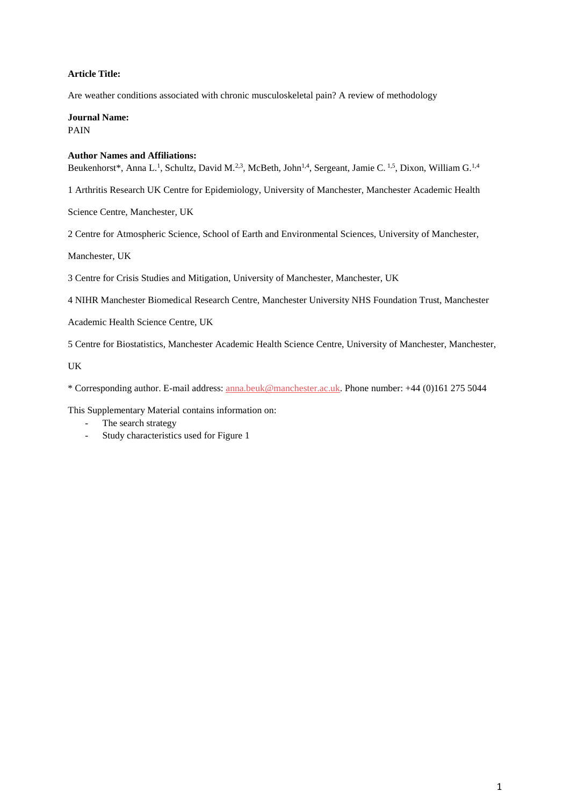# **Article Title:**

Are weather conditions associated with chronic musculoskeletal pain? A review of methodology

**Journal Name:** PAIN

## **Author Names and Affiliations:**

Beukenhorst\*, Anna L.<sup>1</sup>, Schultz, David M.<sup>2,3</sup>, McBeth, John<sup>1,4</sup>, Sergeant, Jamie C. <sup>1,5</sup>, Dixon, William G. <sup>1,4</sup>

1 Arthritis Research UK Centre for Epidemiology, University of Manchester, Manchester Academic Health

Science Centre, Manchester, UK

2 Centre for Atmospheric Science, School of Earth and Environmental Sciences, University of Manchester,

Manchester, UK

3 Centre for Crisis Studies and Mitigation, University of Manchester, Manchester, UK

4 NIHR Manchester Biomedical Research Centre, Manchester University NHS Foundation Trust, Manchester

Academic Health Science Centre, UK

5 Centre for Biostatistics, Manchester Academic Health Science Centre, University of Manchester, Manchester,

UK

\* Corresponding author. E-mail address: [anna.beuk@manchester.ac.uk.](mailto:anna.beuk@manchester.ac.uk) Phone number: +44 (0)161 275 5044

This Supplementary Material contains information on:

- The search strategy
- Study characteristics used for Figure 1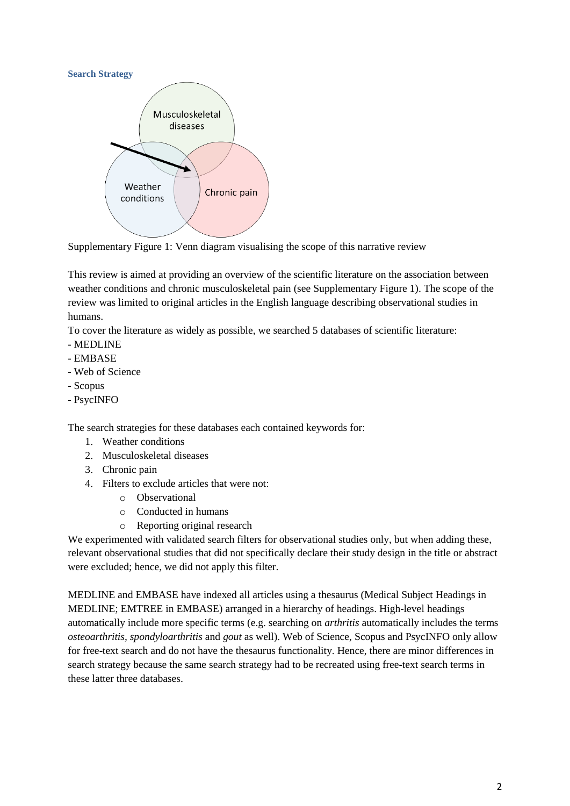

Supplementary Figure 1: Venn diagram visualising the scope of this narrative review

This review is aimed at providing an overview of the scientific literature on the association between weather conditions and chronic musculoskeletal pain (see Supplementary Figure 1). The scope of the review was limited to original articles in the English language describing observational studies in humans.

To cover the literature as widely as possible, we searched 5 databases of scientific literature:

- MEDLINE
- EMBASE
- Web of Science
- Scopus
- PsycINFO

The search strategies for these databases each contained keywords for:

- 1. Weather conditions
- 2. Musculoskeletal diseases
- 3. Chronic pain
- 4. Filters to exclude articles that were not:
	- o Observational
	- o Conducted in humans
	- o Reporting original research

We experimented with validated search filters for observational studies only, but when adding these, relevant observational studies that did not specifically declare their study design in the title or abstract were excluded; hence, we did not apply this filter.

MEDLINE and EMBASE have indexed all articles using a thesaurus (Medical Subject Headings in MEDLINE; EMTREE in EMBASE) arranged in a hierarchy of headings. High-level headings automatically include more specific terms (e.g. searching on *arthritis* automatically includes the terms *osteoarthritis, spondyloarthritis* and *gout* as well). Web of Science, Scopus and PsycINFO only allow for free-text search and do not have the thesaurus functionality. Hence, there are minor differences in search strategy because the same search strategy had to be recreated using free-text search terms in these latter three databases.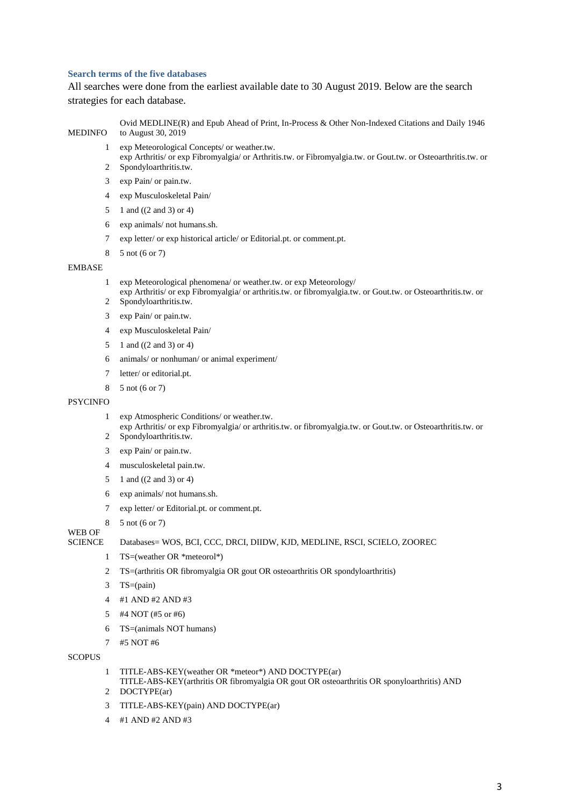## **Search terms of the five databases**

All searches were done from the earliest available date to 30 August 2019. Below are the search strategies for each database.

#### MEDINFO Ovid MEDLINE(R) and Epub Ahead of Print, In-Process & Other Non-Indexed Citations and Daily 1946 to August 30, 2019

exp Meteorological Concepts/ or weather.tw.

 exp Arthritis/ or exp Fibromyalgia/ or Arthritis.tw. or Fibromyalgia.tw. or Gout.tw. or Osteoarthritis.tw. or Spondyloarthritis.tw.

- exp Pain/ or pain.tw.
- exp Musculoskeletal Pain/
- 1 and ((2 and 3) or 4)
- exp animals/ not humans.sh.
- exp letter/ or exp historical article/ or Editorial.pt. or comment.pt.
- 5 not (6 or 7)

# EMBASE

- exp Meteorological phenomena/ or weather.tw. or exp Meteorology/
- $2<sup>1</sup>$ exp Arthritis/ or exp Fibromyalgia/ or arthritis.tw. or fibromyalgia.tw. or Gout.tw. or Osteoarthritis.tw. or Spondyloarthritis.tw.
- exp Pain/ or pain.tw.
- exp Musculoskeletal Pain/
- 1 and ((2 and 3) or 4)
- animals/ or nonhuman/ or animal experiment/
- letter/ or editorial.pt.
- 5 not (6 or 7)

#### **PSYCINFO**

- exp Atmospheric Conditions/ or weather.tw.
- exp Arthritis/ or exp Fibromyalgia/ or arthritis.tw. or fibromyalgia.tw. or Gout.tw. or Osteoarthritis.tw. or Spondyloarthritis.tw.
- exp Pain/ or pain.tw.
- musculoskeletal pain.tw.
- 1 and ((2 and 3) or 4)
- exp animals/ not humans.sh.
- exp letter/ or Editorial.pt. or comment.pt.
- 5 not (6 or 7)

# WEB OF

#### SCIENCE Databases= WOS, BCI, CCC, DRCI, DIIDW, KJD, MEDLINE, RSCI, SCIELO, ZOOREC

- TS=(weather OR \*meteorol\*)
- TS=(arthritis OR fibromyalgia OR gout OR osteoarthritis OR spondyloarthritis)
- TS=(pain)
- #1 AND #2 AND #3
- #4 NOT (#5 or #6)
- TS=(animals NOT humans)
- #5 NOT #6

#### **SCOPUS**

- TITLE-ABS-KEY(weather OR \*meteor\*) AND DOCTYPE(ar)
- DOCTYPE(ar) TITLE-ABS-KEY(arthritis OR fibromyalgia OR gout OR osteoarthritis OR sponyloarthritis) AND
- TITLE-ABS-KEY(pain) AND DOCTYPE(ar)
- #1 AND #2 AND #3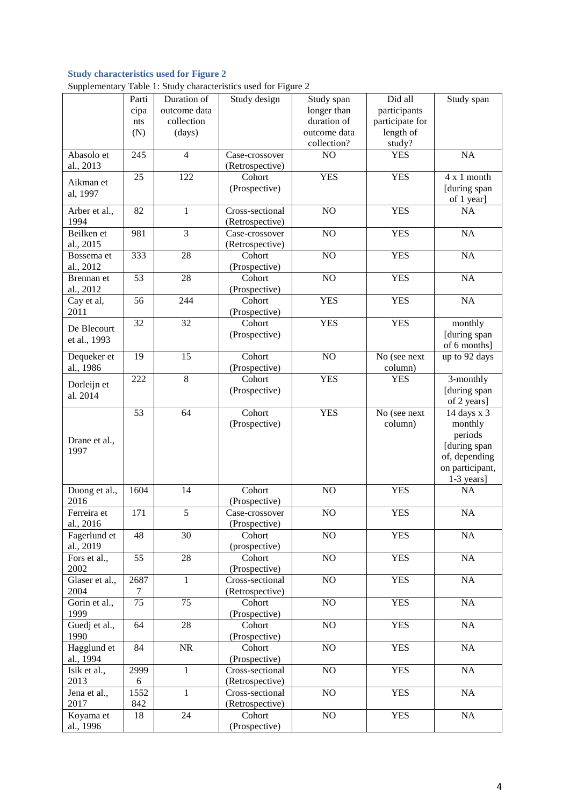# **Study characteristics used for Figure 2**

| Supplementary Table 1: Study characteristics used for Figure 2 |  |  |  |
|----------------------------------------------------------------|--|--|--|
|                                                                |  |  |  |

|                         | Parti           | Duration of            | Study design                      | Study span      | Did all                 | Study span                 |
|-------------------------|-----------------|------------------------|-----------------------------------|-----------------|-------------------------|----------------------------|
|                         | cipa            | outcome data           |                                   | longer than     | participants            |                            |
|                         | nts             | collection             |                                   | duration of     | participate for         |                            |
|                         | (N)             | (days)                 |                                   | outcome data    | length of               |                            |
|                         |                 |                        |                                   | collection?     | study?                  |                            |
| Abasolo et<br>al., 2013 | 245             | $\overline{4}$         | Case-crossover<br>(Retrospective) | N <sub>O</sub>  | <b>YES</b>              | NA                         |
| Aikman et               | 25              | 122                    | Cohort                            | <b>YES</b>      | <b>YES</b>              | 4 x 1 month                |
| al, 1997                |                 |                        | (Prospective)                     |                 |                         | [during span               |
|                         |                 |                        |                                   |                 |                         | of 1 year]                 |
| Arber et al.,           | 82              | $\mathbf{1}$           | Cross-sectional                   | NO              | <b>YES</b>              | <b>NA</b>                  |
| 1994                    |                 |                        | (Retrospective)                   |                 |                         |                            |
| Beilken et              | 981             | $\overline{3}$         | Case-crossover                    | NO              | <b>YES</b>              | NA                         |
| al., 2015               |                 |                        | (Retrospective)                   |                 |                         |                            |
| Bossema et              | 333             | 28                     | Cohort                            | NO              | <b>YES</b>              | NA                         |
| al., 2012               |                 |                        | (Prospective)                     |                 |                         |                            |
| Brennan et              | 53              | 28                     | Cohort                            | NO              | <b>YES</b>              | NA                         |
| al., 2012               |                 |                        | (Prospective)                     |                 |                         |                            |
| Cay et al,              | 56              | 244                    | Cohort                            | <b>YES</b>      | <b>YES</b>              | NA                         |
| 2011                    |                 |                        | (Prospective)                     |                 |                         |                            |
| De Blecourt             | 32              | 32                     | Cohort                            | <b>YES</b>      | <b>YES</b>              | $\overline{\text{month}y}$ |
| et al., 1993            |                 |                        | (Prospective)                     |                 |                         | [during span               |
|                         |                 |                        |                                   |                 |                         | of 6 months]               |
| Dequeker et             | 19              | $\overline{15}$        | Cohort                            | NO              | No (see next            | up to 92 days              |
| al., 1986               |                 |                        | (Prospective)                     |                 | column)                 |                            |
| Dorleijn et             | 222             | $8\,$                  | Cohort                            | <b>YES</b>      | <b>YES</b>              | 3-monthly                  |
| al. 2014                |                 |                        | (Prospective)                     |                 |                         | [during span               |
|                         | 53              | 64                     | Cohort                            | <b>YES</b>      |                         | of 2 years]                |
|                         |                 |                        | (Prospective)                     |                 | No (see next<br>column) | 14 days x 3<br>monthly     |
|                         |                 |                        |                                   |                 |                         | periods                    |
| Drane et al.,           |                 |                        |                                   |                 |                         | [during span               |
| 1997                    |                 |                        |                                   |                 |                         | of, depending              |
|                         |                 |                        |                                   |                 |                         | on participant,            |
|                         |                 |                        |                                   |                 |                         | 1-3 years]                 |
| Duong et al.,           | 1604            | 14                     | Cohort                            | NO              | <b>YES</b>              | <b>NA</b>                  |
| 2016                    |                 |                        | (Prospective)                     |                 |                         |                            |
| Ferreira et             | 171             | 5                      | Case-crossover                    | NO              | <b>YES</b>              | NA                         |
| al., 2016               |                 |                        | (Prospective)                     |                 |                         |                            |
| Fagerlund et            | 48              | $\overline{30}$        | Cohort                            | $\rm NO$        | <b>YES</b>              | $\rm NA$                   |
| al., 2019               |                 |                        | (prospective)                     |                 |                         |                            |
| Fors et al.,            | $\overline{55}$ | $\overline{28}$        | Cohort                            | $\overline{NO}$ | <b>YES</b>              | $\rm NA$                   |
| 2002                    |                 |                        | (Prospective)                     |                 |                         |                            |
| Glaser et al.,          | 2687            | $\mathbf{1}$           | Cross-sectional                   | NO              | <b>YES</b>              | $\rm NA$                   |
| 2004                    | 7               |                        | (Retrospective)                   |                 |                         |                            |
| Gorin et al.,           | 75              | 75                     | Cohort                            | $\overline{NO}$ | <b>YES</b>              | $\rm NA$                   |
| 1999                    |                 |                        | (Prospective)                     |                 |                         |                            |
| Guedj et al.,           | 64              | $\overline{28}$        | Cohort                            | $\overline{NO}$ | <b>YES</b>              | $\rm NA$                   |
| 1990                    |                 |                        | (Prospective)                     |                 |                         |                            |
| Hagglund et             | 84              | $\overline{\text{NR}}$ | Cohort                            | NO              | <b>YES</b>              | NA                         |
| al., 1994               |                 |                        | (Prospective)                     |                 |                         |                            |
| Isik et al.,            | 2999            | $\mathbf{1}$           | Cross-sectional                   | NO              | <b>YES</b>              | $\rm NA$                   |
| 2013                    | 6               |                        | (Retrospective)                   |                 |                         |                            |
| Jena et al.,            | 1552            | $\mathbf{1}$           | Cross-sectional                   | NO              | <b>YES</b>              | NA                         |
| 2017                    | 842             |                        | (Retrospective)                   |                 |                         |                            |
| Koyama et               | 18              | 24                     | Cohort                            | $\rm NO$        | <b>YES</b>              | NA                         |
| al., 1996               |                 |                        | (Prospective)                     |                 |                         |                            |